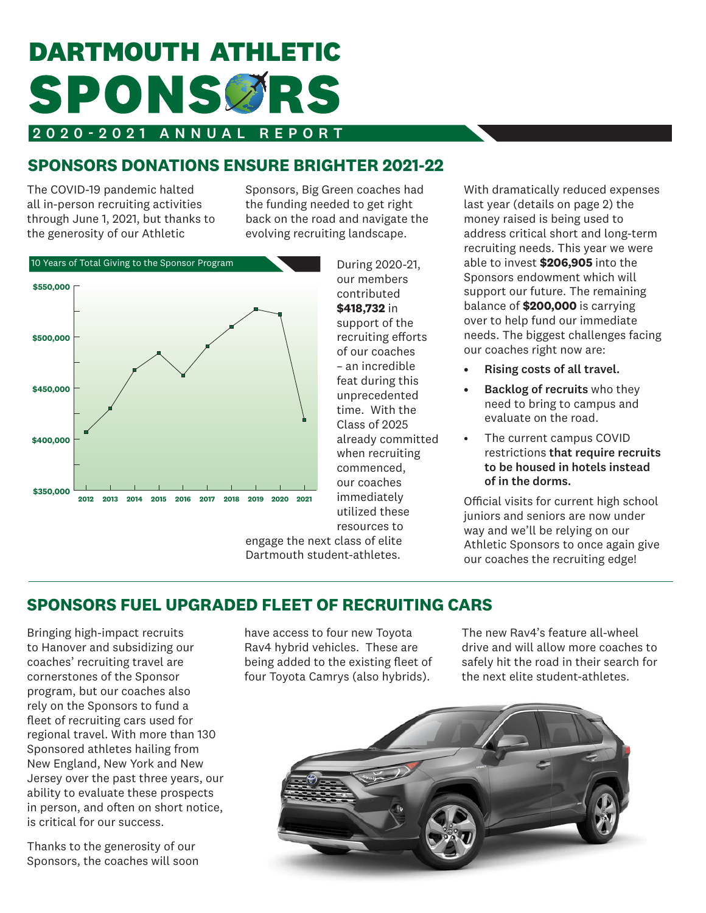# **DARTMOUTH ATHLETIC** SPONSCRS

#### 2020-2021 ANNUAL REPORT

# **SPONSORS DONATIONS ENSURE BRIGHTER 2021-22**

The COVID-19 pandemic halted all in-person recruiting activities through June 1, 2021, but thanks to the generosity of our Athletic

Sponsors, Big Green coaches had the funding needed to get right back on the road and navigate the evolving recruiting landscape.



During 2020-21, our members contributed **\$418,732** in support of the recruiting efforts of our coaches – an incredible feat during this unprecedented time. With the Class of 2025 already committed when recruiting commenced, our coaches immediately utilized these resources to

engage the next class of elite Dartmouth student-athletes.

With dramatically reduced expenses last year (details on page 2) the money raised is being used to address critical short and long-term recruiting needs. This year we were able to invest **\$206,905** into the Sponsors endowment which will support our future. The remaining balance of **\$200,000** is carrying over to help fund our immediate needs. The biggest challenges facing our coaches right now are:

- Rising costs of all travel.
- Backlog of recruits who they need to bring to campus and evaluate on the road.
- The current campus COVID restrictions that require recruits to be housed in hotels instead of in the dorms.

Official visits for current high school juniors and seniors are now under way and we'll be relying on our Athletic Sponsors to once again give our coaches the recruiting edge!

#### **SPONSORS FUEL UPGRADED FLEET OF RECRUITING CARS**

Bringing high-impact recruits to Hanover and subsidizing our coaches' recruiting travel are cornerstones of the Sponsor program, but our coaches also rely on the Sponsors to fund a fleet of recruiting cars used for regional travel. With more than 130 Sponsored athletes hailing from New England, New York and New Jersey over the past three years, our ability to evaluate these prospects in person, and often on short notice, is critical for our success.

Thanks to the generosity of our Sponsors, the coaches will soon have access to four new Toyota Rav4 hybrid vehicles. These are being added to the existing fleet of four Toyota Camrys (also hybrids).

The new Rav4's feature all-wheel drive and will allow more coaches to safely hit the road in their search for the next elite student-athletes.

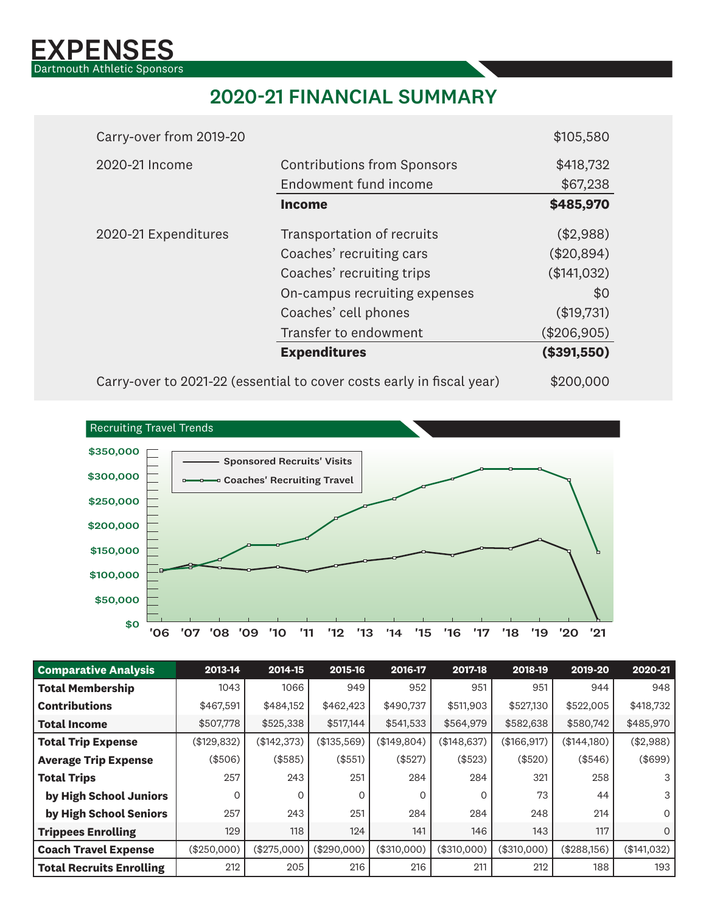

# 2020-21 FINANCIAL SUMMARY

| Carry-over from 2019-20 |                                                                       | \$105,580   |
|-------------------------|-----------------------------------------------------------------------|-------------|
| 2020-21 Income          | <b>Contributions from Sponsors</b>                                    | \$418,732   |
|                         | Endowment fund income                                                 | \$67,238    |
|                         | <b>Income</b>                                                         | \$485,970   |
| 2020-21 Expenditures    | Transportation of recruits                                            | (\$2,988)   |
|                         | Coaches' recruiting cars                                              | (\$20,894)  |
|                         | Coaches' recruiting trips                                             | (\$141,032) |
|                         | On-campus recruiting expenses                                         | \$0         |
|                         | Coaches' cell phones                                                  | (\$19,731)  |
|                         | Transfer to endowment                                                 | (\$206,905) |
|                         | <b>Expenditures</b>                                                   | (\$391,550) |
|                         | Carry-over to 2021-22 (essential to cover costs early in fiscal year) | \$200,000   |



| <b>Comparative Analysis</b>     | 2013-14     | 2014-15     | 2015-16     | 2016-17     | 2017-18     | 2018-19     | 2019-20     | 2020-21      |
|---------------------------------|-------------|-------------|-------------|-------------|-------------|-------------|-------------|--------------|
| <b>Total Membership</b>         | 1043        | 1066        | 949         | 952         | 951         | 951         | 944         | 948          |
| <b>Contributions</b>            | \$467,591   | \$484,152   | \$462,423   | \$490,737   | \$511,903   | \$527,130   | \$522,005   | \$418,732    |
| <b>Total Income</b>             | \$507,778   | \$525,338   | \$517,144   | \$541,533   | \$564,979   | \$582,638   | \$580,742   | \$485,970    |
| <b>Total Trip Expense</b>       | (\$129,832) | (\$142,373) | (\$135,569) | (\$149,804) | (\$148,637) | (\$166,917) | (\$144,180) | (\$2,988)    |
| <b>Average Trip Expense</b>     | (\$506)     | (\$585)     | (\$551)     | (\$527)     | (\$523)     | (\$520)     | (\$546)     | (\$699)      |
| <b>Total Trips</b>              | 257         | 243         | 251         | 284         | 284         | 321         | 258         | 3            |
| by High School Juniors          | $\Omega$    | $\Omega$    | $\Omega$    | 0           | $\Omega$    | 73          | 44          | 3            |
| by High School Seniors          | 257         | 243         | 251         | 284         | 284         | 248         | 214         | $\mathsf{O}$ |
| <b>Trippees Enrolling</b>       | 129         | 118         | 124         | 141         | 146         | 143         | 117         | $\mathsf{O}$ |
| <b>Coach Travel Expense</b>     | (\$250,000) | (\$275,000) | (\$290,000) | (\$310,000) | (\$310,000) | (\$310,000) | (\$288,156) | (\$141,032)  |
| <b>Total Recruits Enrolling</b> | 212         | 205         | 216         | 216         | 211         | 212         | 188         | 193          |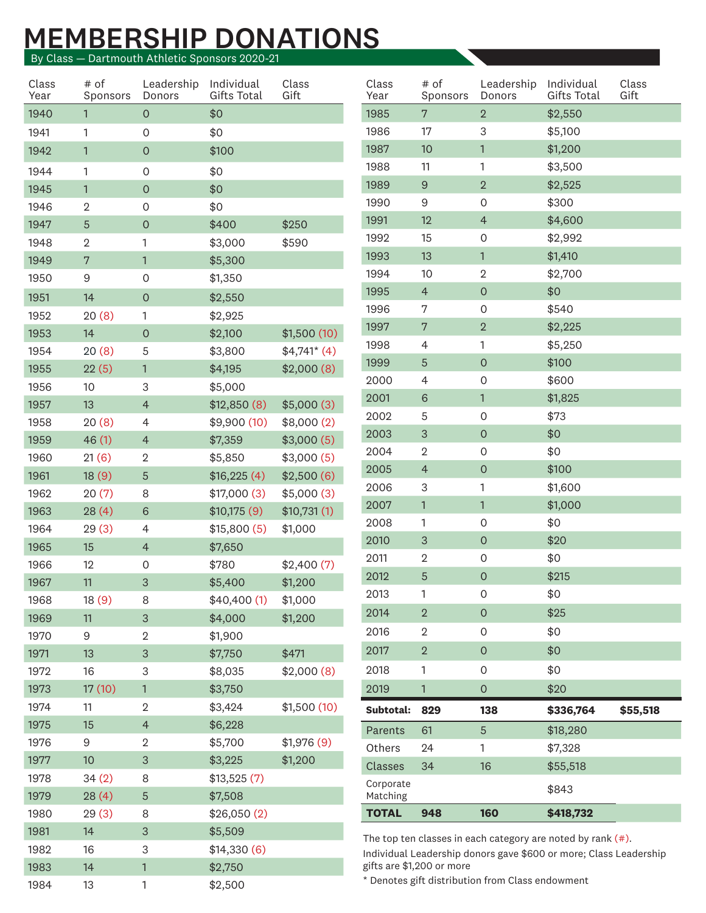# MEMBERSHIP DONATIONS

By Class — Dartmouth Athletic Sponsors 2020-21

| Class<br>Year | # of<br>Sponsors Donors | Leadership Individual          | Gifts Total            | Class<br>Gift         | Class<br>Year | # of<br>Sponsors          | Leadership Individual<br>Donors                  | Gifts Total                                                       | Class<br>Gift |
|---------------|-------------------------|--------------------------------|------------------------|-----------------------|---------------|---------------------------|--------------------------------------------------|-------------------------------------------------------------------|---------------|
| 1940          |                         | $\overline{0}$                 | \$0                    |                       | 1985          | $7\overline{ }$           | $2^{\circ}$                                      | \$2,550                                                           |               |
| 1941          |                         | $\overline{O}$                 | \$0                    |                       | 1986          | 17                        | 3                                                | \$5,100                                                           |               |
| 1942          |                         | $\overline{0}$                 | \$100                  |                       | 1987          | 10 <sup>°</sup>           |                                                  | \$1,200                                                           |               |
| 1944          | -1                      | $\overline{0}$                 | \$0                    |                       | 1988          | 11                        | -1                                               | \$3,500                                                           |               |
| 1945          |                         | $\overline{0}$                 | \$0                    |                       | 1989          | 9                         | $\overline{2}$                                   | \$2,525                                                           |               |
| 1946          | $\overline{2}$          | $\overline{0}$                 | \$0                    |                       | 1990          | 9                         | $\mathsf{O}$                                     | \$300                                                             |               |
| 1947          | $5\phantom{.0}$         | $\overline{0}$                 | \$400                  | \$250                 | 1991          | 12                        | $\overline{4}$                                   | \$4,600                                                           |               |
| 1948          | $\overline{2}$          |                                | \$3,000                | \$590                 | 1992          | 15                        | $\mathsf{O}$                                     | \$2,992                                                           |               |
| 1949          | 7                       | $\mathbf{1}$                   | \$5,300                |                       | 1993          | 13                        |                                                  | \$1,410                                                           |               |
| 1950          | 9                       | $\overline{O}$                 | \$1,350                |                       | 1994          | 10                        | $\overline{2}$                                   | \$2,700                                                           |               |
| 1951          | 14                      | $\overline{0}$                 | \$2,550                |                       | 1995          | $\overline{4}$            | $\overline{0}$                                   | \$0                                                               |               |
| 1952          | 20(8)                   | $\mathbf{1}$                   | \$2,925                |                       | 1996          | $7\phantom{.0}$           | $\mathsf{O}$                                     | \$540                                                             |               |
| 1953          | 14                      | $\circ$                        | \$2,100                | \$1,500(10)           | 1997          | $7\phantom{.0}$           | $\overline{2}$                                   | \$2,225                                                           |               |
| 1954          | 20(8)                   | 5                              | \$3,800                | $$4,741$ (4)          | 1998          | $\overline{4}$            |                                                  | \$5,250                                                           |               |
| 1955          | 22(5)                   | $\mathbf{1}$                   | \$4,195                | \$2,000(8)            | 1999          | $5^{\circ}$               | $\overline{0}$                                   | \$100                                                             |               |
| 1956          | 10 <sup>°</sup>         | 3                              | \$5,000                |                       | 2000          | $\overline{4}$            | $\circ$                                          | \$600                                                             |               |
| 1957          | 13                      | $\overline{4}$                 | \$12,850(8)            | \$5,000(3)            | 2001<br>2002  | 6<br>$5\phantom{.0}$      | $\mathsf{O}$                                     | \$1,825<br>\$73                                                   |               |
| 1958          | 20(8)                   | 4                              | \$9,900(10)            | \$8,000(2)            | 2003          | $\mathbf{3}$              | $\overline{0}$                                   | \$0                                                               |               |
| 1959          | 46(1)                   | $\overline{4}$                 | \$7,359                | \$3,000(5)            | 2004          | $\overline{2}$            | $\mathsf{O}$                                     | \$0                                                               |               |
| 1960          | 21(6)                   | $\overline{2}$                 | \$5,850                | \$3,000(5)            | 2005          | $\overline{4}$            | $\overline{0}$                                   | \$100                                                             |               |
| 1961          | 18(9)                   | $5\phantom{.0}$                | \$16,225(4)            | \$2,500(6)            | 2006          | 3                         |                                                  | \$1,600                                                           |               |
| 1962          | 20(7)                   | 8                              | \$17,000(3)            | \$5,000(3)            | 2007          | $\overline{1}$            |                                                  | \$1,000                                                           |               |
| 1963          | 28(4)                   | $6\phantom{1}6$                | \$10,175(9)            | \$10,731(1)           | 2008          | $\overline{1}$            | $\mathsf{O}$                                     | \$0                                                               |               |
| 1964          | 29(3)                   | $\overline{4}$                 | \$15,800(5)            | \$1,000               | 2010          | $\mathbf{3}$              | $\overline{0}$                                   | \$20                                                              |               |
| 1965<br>1966  | 15<br>12                | $\overline{4}$                 | \$7,650                |                       | 2011          | $\overline{2}$            | $\mathsf{O}$                                     | \$0                                                               |               |
| 1967          | 11                      | $\overline{0}$<br>$\mathbf{3}$ | \$780<br>\$5,400       | \$2,400(7)<br>\$1,200 | 2012          | $5\phantom{.0}$           | $\overline{0}$                                   | \$215                                                             |               |
| 1968          | 18(9)                   | 8                              | \$40,400(1)            | \$1,000               | 2013          |                           | $\overline{0}$                                   | \$0                                                               |               |
| 1969          | 11                      | 3 <sup>2</sup>                 | \$4,000                | \$1,200               | 2014          | $\overline{2}$            | $\overline{0}$                                   | \$25                                                              |               |
| 1970          | 9                       | $\overline{2}$                 | \$1,900                |                       | 2016          | $\overline{2}$            | $\overline{0}$                                   | \$0                                                               |               |
| 1971          | 13                      | 3 <sup>1</sup>                 | \$7,750                | \$471                 | 2017          | $\overline{2}$            | $\overline{0}$                                   | \$0                                                               |               |
| 1972          | 16                      | $\mathbf{3}$                   | \$8,035                | \$2,000(8)            | 2018          | $\mathbf{1}$              | $\mathsf{O}$                                     | \$0                                                               |               |
| 1973          | 17(10)                  | $\overline{1}$                 | \$3,750                |                       | 2019          |                           | $\overline{O}$                                   | \$20                                                              |               |
| 1974          | 11                      | $\overline{2}$                 | \$3,424                | \$1,500(10)           | Subtotal: 829 |                           | 138                                              | \$336,764                                                         | \$55,518      |
| 1975          | 15                      | $\overline{4}$                 | \$6,228                |                       | Parents 61    |                           | 5 <sup>1</sup>                                   | \$18,280                                                          |               |
| 1976          | 9                       | $\overline{2}$                 | \$5,700                | \$1,976(9)            | Others        | 24                        | $\mathbf{1}$                                     | \$7,328                                                           |               |
| 1977          | 10 <sup>°</sup>         | $\mathbf{3}$                   | \$3,225                | \$1,200               | Classes 34    |                           | 16                                               | \$55,518                                                          |               |
| 1978          | 34(2)                   | 8                              | \$13,525(7)            |                       | Corporate     |                           |                                                  | \$843                                                             |               |
| 1979          | 28(4)                   | 5 <sup>5</sup>                 | \$7,508                |                       | Matching      |                           |                                                  |                                                                   |               |
| 1980          | 29(3)                   | 8                              | \$26,050(2)            |                       | TOTAL 948     |                           | 160                                              | \$418,732                                                         |               |
| 1981          | 14                      | 3 <sup>1</sup>                 | \$5,509                |                       |               |                           |                                                  | The top ten classes in each category are noted by rank $(*)$ .    |               |
| 1982<br>1983  | 16                      | $\mathbf{3}$<br>$\mathbf{1}$   | \$14,330(6)<br>\$2,750 |                       |               | gifts are \$1,200 or more |                                                  | Individual Leadership donors gave \$600 or more; Class Leadership |               |
| 1984          | 14<br>13                | $\mathbf{1}$                   |                        |                       |               |                           | * Denotes gift distribution from Class endowment |                                                                   |               |
|               |                         |                                | \$2,500                |                       |               |                           |                                                  |                                                                   |               |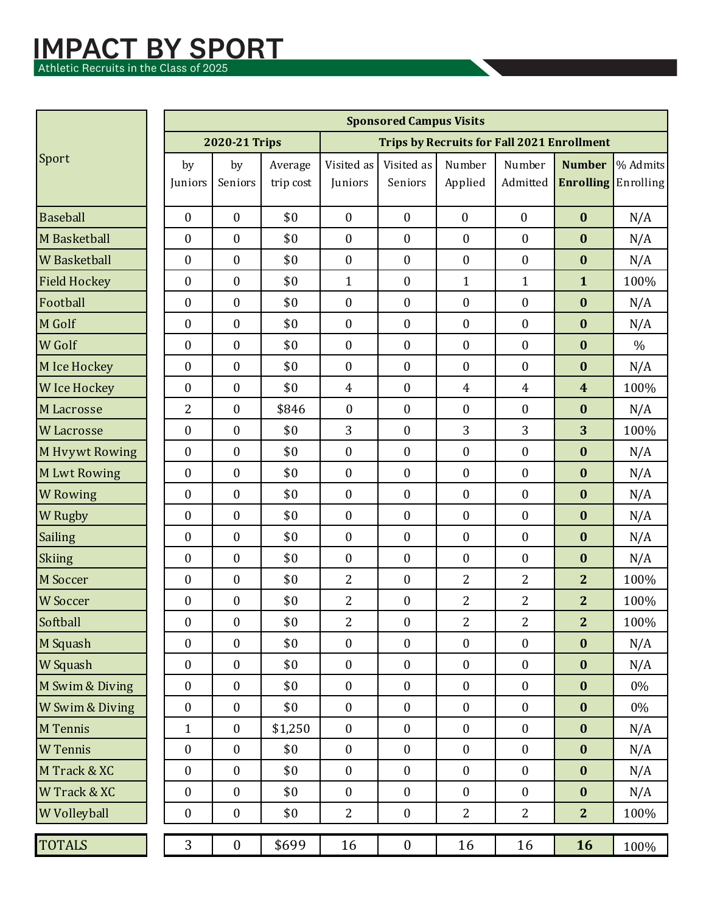#### IMPACT BY SPORT **IMPACT BY**

Athletic Recruits in the Class of 2025 Athletic Recruits in the Class of  $2025$ 

| <b>Trips by Recruits for Fall 2021 Enrollment</b><br>2020-21 Trips<br>Sport<br>% Admits<br>Visited as<br>Visited as<br>Number<br>by<br>Number<br><b>Number</b><br>Average<br>by<br><b>Enrolling</b> Enrolling<br>Seniors<br>Seniors<br>Applied<br>Admitted<br>trip cost<br>Juniors<br>Juniors<br><b>Baseball</b><br>$\mathbf{0}$<br>\$0<br>$\mathbf{0}$<br>$\mathbf{0}$<br>$\boldsymbol{0}$<br>$\mathbf{0}$<br>$\mathbf{0}$<br>$\bf{0}$<br>N/A<br>M Basketball<br>$\boldsymbol{0}$<br>\$0<br>$\mathbf{0}$<br>$\boldsymbol{0}$<br>$\boldsymbol{0}$<br>$\boldsymbol{0}$<br>$\boldsymbol{0}$<br>$\bf{0}$<br>N/A<br>$\boldsymbol{0}$<br>$\boldsymbol{0}$<br>\$0<br>$\mathbf{0}$<br>$\boldsymbol{0}$<br>$\boldsymbol{0}$<br>$\boldsymbol{0}$<br><b>W</b> Basketball<br>$\bf{0}$<br>N/A<br><b>Field Hockey</b><br>$\boldsymbol{0}$<br>\$0<br>$\boldsymbol{0}$<br>$\mathbf{1}$<br>$\mathbf{0}$<br>$\mathbf{1}$<br>$\mathbf{1}$<br>$\mathbf{1}$<br>100%<br>Football<br>\$0<br>$\mathbf{0}$<br>$\boldsymbol{0}$<br>$\mathbf{0}$<br>$\bf{0}$<br>$\boldsymbol{0}$<br>$\boldsymbol{0}$<br>$\bf{0}$<br>N/A<br>M Golf<br>\$0<br>$\boldsymbol{0}$<br>$\boldsymbol{0}$<br>$\boldsymbol{0}$<br>$\boldsymbol{0}$<br>$\bf{0}$<br>$\boldsymbol{0}$<br>$\bf{0}$<br>N/A<br>\$0<br><b>W</b> Golf<br>$\mathbf{0}$<br>$\boldsymbol{0}$<br>$\boldsymbol{0}$<br>$\bf{0}$<br>$\boldsymbol{0}$<br>$\boldsymbol{0}$<br>$\bf{0}$<br>$\%$<br>\$0<br>$\boldsymbol{0}$<br>$\mathbf{0}$<br>$\bf{0}$<br>$\boldsymbol{0}$<br>$\boldsymbol{0}$<br>M Ice Hockey<br>$\boldsymbol{0}$<br>$\bf{0}$<br>N/A<br>\$0<br>$\boldsymbol{0}$<br>$\boldsymbol{0}$<br><b>W</b> Ice Hockey<br>$\boldsymbol{0}$<br>$\overline{4}$<br>$\overline{4}$<br>$\overline{4}$<br>$\boldsymbol{4}$<br>100%<br>$\overline{2}$<br>$\mathbf{0}$<br>$\bf{0}$<br>$\boldsymbol{0}$<br>$\boldsymbol{0}$<br>$\mathbf{0}$<br>\$846<br>$\bf{0}$<br>M Lacrosse<br>N/A<br>$\overline{3}$<br>3<br>3<br>\$0<br>$\boldsymbol{0}$<br>3<br><b>W</b> Lacrosse<br>$\boldsymbol{0}$<br>$\boldsymbol{0}$<br>100%<br>$\boldsymbol{0}$<br>\$0<br>$\mathbf{0}$<br>$\boldsymbol{0}$<br>$\boldsymbol{0}$<br>$\boldsymbol{0}$<br>$\bf{0}$<br>M Hvywt Rowing<br>$\boldsymbol{0}$<br>N/A<br>\$0<br>$\boldsymbol{0}$<br>$\boldsymbol{0}$<br>$\boldsymbol{0}$<br>$\mathbf{0}$<br>$\mathbf{0}$<br>$\boldsymbol{0}$<br>$\bf{0}$<br><b>MLwt Rowing</b><br>N/A<br>$\boldsymbol{0}$<br>\$0<br>$\mathbf{0}$<br>$\boldsymbol{0}$<br>$\boldsymbol{0}$<br><b>W</b> Rowing<br>$\boldsymbol{0}$<br>$\boldsymbol{0}$<br>$\bf{0}$<br>N/A<br><b>W</b> Rugby<br>$\boldsymbol{0}$<br>\$0<br>$\mathbf{0}$<br>$\boldsymbol{0}$<br>$\boldsymbol{0}$<br>$\boldsymbol{0}$<br>$\boldsymbol{0}$<br>$\bf{0}$<br>N/A<br>Sailing<br>$\boldsymbol{0}$<br>$\boldsymbol{0}$<br>\$0<br>$\mathbf{0}$<br>$\boldsymbol{0}$<br>$\boldsymbol{0}$<br>$\boldsymbol{0}$<br>$\bf{0}$<br>N/A<br>Skiing<br>$\boldsymbol{0}$<br>\$0<br>$\mathbf{0}$<br>$\mathbf{0}$<br>$\boldsymbol{0}$<br>$\boldsymbol{0}$<br>$\bf{0}$<br>N/A<br>$\boldsymbol{0}$<br>\$0<br>$\overline{2}$<br>$\overline{2}$<br>M Soccer<br>$\boldsymbol{0}$<br>$\boldsymbol{0}$<br>$\bf{0}$<br>$\overline{2}$<br>$\overline{2}$<br>100%<br>\$0<br>$\overline{c}$<br>$\overline{2}$<br>$\overline{c}$<br>$\overline{2}$<br>$\boldsymbol{0}$<br>$\boldsymbol{0}$<br>$\boldsymbol{0}$<br>100%<br><b>W</b> Soccer<br>Softball<br>\$0<br>$\overline{2}$<br>$\overline{2}$<br>$\overline{2}$<br>$\overline{2}$<br>$\boldsymbol{0}$<br>$\boldsymbol{0}$<br>$\mathbf{0}$<br>100% |
|----------------------------------------------------------------------------------------------------------------------------------------------------------------------------------------------------------------------------------------------------------------------------------------------------------------------------------------------------------------------------------------------------------------------------------------------------------------------------------------------------------------------------------------------------------------------------------------------------------------------------------------------------------------------------------------------------------------------------------------------------------------------------------------------------------------------------------------------------------------------------------------------------------------------------------------------------------------------------------------------------------------------------------------------------------------------------------------------------------------------------------------------------------------------------------------------------------------------------------------------------------------------------------------------------------------------------------------------------------------------------------------------------------------------------------------------------------------------------------------------------------------------------------------------------------------------------------------------------------------------------------------------------------------------------------------------------------------------------------------------------------------------------------------------------------------------------------------------------------------------------------------------------------------------------------------------------------------------------------------------------------------------------------------------------------------------------------------------------------------------------------------------------------------------------------------------------------------------------------------------------------------------------------------------------------------------------------------------------------------------------------------------------------------------------------------------------------------------------------------------------------------------------------------------------------------------------------------------------------------------------------------------------------------------------------------------------------------------------------------------------------------------------------------------------------------------------------------------------------------------------------------------------------------------------------------------------------------------------------------------------------------------------------------------------------------------------------------------------------------------------------------------------------------------------------------------------------------------------------------------------------------------------------------------------------------------------------------------------------------------------------------------------------------------------------------------------------------------------------------------------|
|                                                                                                                                                                                                                                                                                                                                                                                                                                                                                                                                                                                                                                                                                                                                                                                                                                                                                                                                                                                                                                                                                                                                                                                                                                                                                                                                                                                                                                                                                                                                                                                                                                                                                                                                                                                                                                                                                                                                                                                                                                                                                                                                                                                                                                                                                                                                                                                                                                                                                                                                                                                                                                                                                                                                                                                                                                                                                                                                                                                                                                                                                                                                                                                                                                                                                                                                                                                                                                                                                                    |
|                                                                                                                                                                                                                                                                                                                                                                                                                                                                                                                                                                                                                                                                                                                                                                                                                                                                                                                                                                                                                                                                                                                                                                                                                                                                                                                                                                                                                                                                                                                                                                                                                                                                                                                                                                                                                                                                                                                                                                                                                                                                                                                                                                                                                                                                                                                                                                                                                                                                                                                                                                                                                                                                                                                                                                                                                                                                                                                                                                                                                                                                                                                                                                                                                                                                                                                                                                                                                                                                                                    |
|                                                                                                                                                                                                                                                                                                                                                                                                                                                                                                                                                                                                                                                                                                                                                                                                                                                                                                                                                                                                                                                                                                                                                                                                                                                                                                                                                                                                                                                                                                                                                                                                                                                                                                                                                                                                                                                                                                                                                                                                                                                                                                                                                                                                                                                                                                                                                                                                                                                                                                                                                                                                                                                                                                                                                                                                                                                                                                                                                                                                                                                                                                                                                                                                                                                                                                                                                                                                                                                                                                    |
|                                                                                                                                                                                                                                                                                                                                                                                                                                                                                                                                                                                                                                                                                                                                                                                                                                                                                                                                                                                                                                                                                                                                                                                                                                                                                                                                                                                                                                                                                                                                                                                                                                                                                                                                                                                                                                                                                                                                                                                                                                                                                                                                                                                                                                                                                                                                                                                                                                                                                                                                                                                                                                                                                                                                                                                                                                                                                                                                                                                                                                                                                                                                                                                                                                                                                                                                                                                                                                                                                                    |
|                                                                                                                                                                                                                                                                                                                                                                                                                                                                                                                                                                                                                                                                                                                                                                                                                                                                                                                                                                                                                                                                                                                                                                                                                                                                                                                                                                                                                                                                                                                                                                                                                                                                                                                                                                                                                                                                                                                                                                                                                                                                                                                                                                                                                                                                                                                                                                                                                                                                                                                                                                                                                                                                                                                                                                                                                                                                                                                                                                                                                                                                                                                                                                                                                                                                                                                                                                                                                                                                                                    |
|                                                                                                                                                                                                                                                                                                                                                                                                                                                                                                                                                                                                                                                                                                                                                                                                                                                                                                                                                                                                                                                                                                                                                                                                                                                                                                                                                                                                                                                                                                                                                                                                                                                                                                                                                                                                                                                                                                                                                                                                                                                                                                                                                                                                                                                                                                                                                                                                                                                                                                                                                                                                                                                                                                                                                                                                                                                                                                                                                                                                                                                                                                                                                                                                                                                                                                                                                                                                                                                                                                    |
|                                                                                                                                                                                                                                                                                                                                                                                                                                                                                                                                                                                                                                                                                                                                                                                                                                                                                                                                                                                                                                                                                                                                                                                                                                                                                                                                                                                                                                                                                                                                                                                                                                                                                                                                                                                                                                                                                                                                                                                                                                                                                                                                                                                                                                                                                                                                                                                                                                                                                                                                                                                                                                                                                                                                                                                                                                                                                                                                                                                                                                                                                                                                                                                                                                                                                                                                                                                                                                                                                                    |
|                                                                                                                                                                                                                                                                                                                                                                                                                                                                                                                                                                                                                                                                                                                                                                                                                                                                                                                                                                                                                                                                                                                                                                                                                                                                                                                                                                                                                                                                                                                                                                                                                                                                                                                                                                                                                                                                                                                                                                                                                                                                                                                                                                                                                                                                                                                                                                                                                                                                                                                                                                                                                                                                                                                                                                                                                                                                                                                                                                                                                                                                                                                                                                                                                                                                                                                                                                                                                                                                                                    |
|                                                                                                                                                                                                                                                                                                                                                                                                                                                                                                                                                                                                                                                                                                                                                                                                                                                                                                                                                                                                                                                                                                                                                                                                                                                                                                                                                                                                                                                                                                                                                                                                                                                                                                                                                                                                                                                                                                                                                                                                                                                                                                                                                                                                                                                                                                                                                                                                                                                                                                                                                                                                                                                                                                                                                                                                                                                                                                                                                                                                                                                                                                                                                                                                                                                                                                                                                                                                                                                                                                    |
|                                                                                                                                                                                                                                                                                                                                                                                                                                                                                                                                                                                                                                                                                                                                                                                                                                                                                                                                                                                                                                                                                                                                                                                                                                                                                                                                                                                                                                                                                                                                                                                                                                                                                                                                                                                                                                                                                                                                                                                                                                                                                                                                                                                                                                                                                                                                                                                                                                                                                                                                                                                                                                                                                                                                                                                                                                                                                                                                                                                                                                                                                                                                                                                                                                                                                                                                                                                                                                                                                                    |
|                                                                                                                                                                                                                                                                                                                                                                                                                                                                                                                                                                                                                                                                                                                                                                                                                                                                                                                                                                                                                                                                                                                                                                                                                                                                                                                                                                                                                                                                                                                                                                                                                                                                                                                                                                                                                                                                                                                                                                                                                                                                                                                                                                                                                                                                                                                                                                                                                                                                                                                                                                                                                                                                                                                                                                                                                                                                                                                                                                                                                                                                                                                                                                                                                                                                                                                                                                                                                                                                                                    |
|                                                                                                                                                                                                                                                                                                                                                                                                                                                                                                                                                                                                                                                                                                                                                                                                                                                                                                                                                                                                                                                                                                                                                                                                                                                                                                                                                                                                                                                                                                                                                                                                                                                                                                                                                                                                                                                                                                                                                                                                                                                                                                                                                                                                                                                                                                                                                                                                                                                                                                                                                                                                                                                                                                                                                                                                                                                                                                                                                                                                                                                                                                                                                                                                                                                                                                                                                                                                                                                                                                    |
|                                                                                                                                                                                                                                                                                                                                                                                                                                                                                                                                                                                                                                                                                                                                                                                                                                                                                                                                                                                                                                                                                                                                                                                                                                                                                                                                                                                                                                                                                                                                                                                                                                                                                                                                                                                                                                                                                                                                                                                                                                                                                                                                                                                                                                                                                                                                                                                                                                                                                                                                                                                                                                                                                                                                                                                                                                                                                                                                                                                                                                                                                                                                                                                                                                                                                                                                                                                                                                                                                                    |
|                                                                                                                                                                                                                                                                                                                                                                                                                                                                                                                                                                                                                                                                                                                                                                                                                                                                                                                                                                                                                                                                                                                                                                                                                                                                                                                                                                                                                                                                                                                                                                                                                                                                                                                                                                                                                                                                                                                                                                                                                                                                                                                                                                                                                                                                                                                                                                                                                                                                                                                                                                                                                                                                                                                                                                                                                                                                                                                                                                                                                                                                                                                                                                                                                                                                                                                                                                                                                                                                                                    |
|                                                                                                                                                                                                                                                                                                                                                                                                                                                                                                                                                                                                                                                                                                                                                                                                                                                                                                                                                                                                                                                                                                                                                                                                                                                                                                                                                                                                                                                                                                                                                                                                                                                                                                                                                                                                                                                                                                                                                                                                                                                                                                                                                                                                                                                                                                                                                                                                                                                                                                                                                                                                                                                                                                                                                                                                                                                                                                                                                                                                                                                                                                                                                                                                                                                                                                                                                                                                                                                                                                    |
|                                                                                                                                                                                                                                                                                                                                                                                                                                                                                                                                                                                                                                                                                                                                                                                                                                                                                                                                                                                                                                                                                                                                                                                                                                                                                                                                                                                                                                                                                                                                                                                                                                                                                                                                                                                                                                                                                                                                                                                                                                                                                                                                                                                                                                                                                                                                                                                                                                                                                                                                                                                                                                                                                                                                                                                                                                                                                                                                                                                                                                                                                                                                                                                                                                                                                                                                                                                                                                                                                                    |
|                                                                                                                                                                                                                                                                                                                                                                                                                                                                                                                                                                                                                                                                                                                                                                                                                                                                                                                                                                                                                                                                                                                                                                                                                                                                                                                                                                                                                                                                                                                                                                                                                                                                                                                                                                                                                                                                                                                                                                                                                                                                                                                                                                                                                                                                                                                                                                                                                                                                                                                                                                                                                                                                                                                                                                                                                                                                                                                                                                                                                                                                                                                                                                                                                                                                                                                                                                                                                                                                                                    |
|                                                                                                                                                                                                                                                                                                                                                                                                                                                                                                                                                                                                                                                                                                                                                                                                                                                                                                                                                                                                                                                                                                                                                                                                                                                                                                                                                                                                                                                                                                                                                                                                                                                                                                                                                                                                                                                                                                                                                                                                                                                                                                                                                                                                                                                                                                                                                                                                                                                                                                                                                                                                                                                                                                                                                                                                                                                                                                                                                                                                                                                                                                                                                                                                                                                                                                                                                                                                                                                                                                    |
|                                                                                                                                                                                                                                                                                                                                                                                                                                                                                                                                                                                                                                                                                                                                                                                                                                                                                                                                                                                                                                                                                                                                                                                                                                                                                                                                                                                                                                                                                                                                                                                                                                                                                                                                                                                                                                                                                                                                                                                                                                                                                                                                                                                                                                                                                                                                                                                                                                                                                                                                                                                                                                                                                                                                                                                                                                                                                                                                                                                                                                                                                                                                                                                                                                                                                                                                                                                                                                                                                                    |
|                                                                                                                                                                                                                                                                                                                                                                                                                                                                                                                                                                                                                                                                                                                                                                                                                                                                                                                                                                                                                                                                                                                                                                                                                                                                                                                                                                                                                                                                                                                                                                                                                                                                                                                                                                                                                                                                                                                                                                                                                                                                                                                                                                                                                                                                                                                                                                                                                                                                                                                                                                                                                                                                                                                                                                                                                                                                                                                                                                                                                                                                                                                                                                                                                                                                                                                                                                                                                                                                                                    |
|                                                                                                                                                                                                                                                                                                                                                                                                                                                                                                                                                                                                                                                                                                                                                                                                                                                                                                                                                                                                                                                                                                                                                                                                                                                                                                                                                                                                                                                                                                                                                                                                                                                                                                                                                                                                                                                                                                                                                                                                                                                                                                                                                                                                                                                                                                                                                                                                                                                                                                                                                                                                                                                                                                                                                                                                                                                                                                                                                                                                                                                                                                                                                                                                                                                                                                                                                                                                                                                                                                    |
|                                                                                                                                                                                                                                                                                                                                                                                                                                                                                                                                                                                                                                                                                                                                                                                                                                                                                                                                                                                                                                                                                                                                                                                                                                                                                                                                                                                                                                                                                                                                                                                                                                                                                                                                                                                                                                                                                                                                                                                                                                                                                                                                                                                                                                                                                                                                                                                                                                                                                                                                                                                                                                                                                                                                                                                                                                                                                                                                                                                                                                                                                                                                                                                                                                                                                                                                                                                                                                                                                                    |
|                                                                                                                                                                                                                                                                                                                                                                                                                                                                                                                                                                                                                                                                                                                                                                                                                                                                                                                                                                                                                                                                                                                                                                                                                                                                                                                                                                                                                                                                                                                                                                                                                                                                                                                                                                                                                                                                                                                                                                                                                                                                                                                                                                                                                                                                                                                                                                                                                                                                                                                                                                                                                                                                                                                                                                                                                                                                                                                                                                                                                                                                                                                                                                                                                                                                                                                                                                                                                                                                                                    |
| \$0<br>M Squash<br>$\boldsymbol{0}$<br>$\mathbf{0}$<br>$\mathbf{0}$<br>$\boldsymbol{0}$<br>$\boldsymbol{0}$<br>$\mathbf{0}$<br>$\bf{0}$<br>N/A                                                                                                                                                                                                                                                                                                                                                                                                                                                                                                                                                                                                                                                                                                                                                                                                                                                                                                                                                                                                                                                                                                                                                                                                                                                                                                                                                                                                                                                                                                                                                                                                                                                                                                                                                                                                                                                                                                                                                                                                                                                                                                                                                                                                                                                                                                                                                                                                                                                                                                                                                                                                                                                                                                                                                                                                                                                                                                                                                                                                                                                                                                                                                                                                                                                                                                                                                     |
| \$0<br>$\boldsymbol{0}$<br>$\boldsymbol{0}$<br>$\boldsymbol{0}$<br>$\bf{0}$<br>$\boldsymbol{0}$<br>$\boldsymbol{0}$<br>W Squash<br>$\bf{0}$<br>N/A                                                                                                                                                                                                                                                                                                                                                                                                                                                                                                                                                                                                                                                                                                                                                                                                                                                                                                                                                                                                                                                                                                                                                                                                                                                                                                                                                                                                                                                                                                                                                                                                                                                                                                                                                                                                                                                                                                                                                                                                                                                                                                                                                                                                                                                                                                                                                                                                                                                                                                                                                                                                                                                                                                                                                                                                                                                                                                                                                                                                                                                                                                                                                                                                                                                                                                                                                 |
| $\boldsymbol{0}$<br>\$0<br>$\mathbf{0}$<br>$\boldsymbol{0}$<br>$\boldsymbol{0}$<br>M Swim & Diving<br>$\boldsymbol{0}$<br>$\boldsymbol{0}$<br>$\bf{0}$<br>0%                                                                                                                                                                                                                                                                                                                                                                                                                                                                                                                                                                                                                                                                                                                                                                                                                                                                                                                                                                                                                                                                                                                                                                                                                                                                                                                                                                                                                                                                                                                                                                                                                                                                                                                                                                                                                                                                                                                                                                                                                                                                                                                                                                                                                                                                                                                                                                                                                                                                                                                                                                                                                                                                                                                                                                                                                                                                                                                                                                                                                                                                                                                                                                                                                                                                                                                                       |
| \$0<br>$\mathbf{0}$<br>$\boldsymbol{0}$<br>$\boldsymbol{0}$<br>$\boldsymbol{0}$<br>W Swim & Diving<br>$\boldsymbol{0}$<br>$\boldsymbol{0}$<br>$\bf{0}$<br>0%                                                                                                                                                                                                                                                                                                                                                                                                                                                                                                                                                                                                                                                                                                                                                                                                                                                                                                                                                                                                                                                                                                                                                                                                                                                                                                                                                                                                                                                                                                                                                                                                                                                                                                                                                                                                                                                                                                                                                                                                                                                                                                                                                                                                                                                                                                                                                                                                                                                                                                                                                                                                                                                                                                                                                                                                                                                                                                                                                                                                                                                                                                                                                                                                                                                                                                                                       |
| \$1,250<br>$\boldsymbol{0}$<br>$\mathbf{0}$<br>$\mathbf{0}$<br>$\boldsymbol{0}$<br>$\boldsymbol{0}$<br>M Tennis<br>$\mathbf{1}$<br>$\bf{0}$<br>N/A                                                                                                                                                                                                                                                                                                                                                                                                                                                                                                                                                                                                                                                                                                                                                                                                                                                                                                                                                                                                                                                                                                                                                                                                                                                                                                                                                                                                                                                                                                                                                                                                                                                                                                                                                                                                                                                                                                                                                                                                                                                                                                                                                                                                                                                                                                                                                                                                                                                                                                                                                                                                                                                                                                                                                                                                                                                                                                                                                                                                                                                                                                                                                                                                                                                                                                                                                 |
| $\mathbf{0}$<br>$\boldsymbol{0}$<br>$\boldsymbol{0}$<br>$\boldsymbol{0}$<br>$\mathbf{0}$<br>\$0<br>$\mathbf{0}$<br><b>W</b> Tennis<br>$\bf{0}$<br>N/A                                                                                                                                                                                                                                                                                                                                                                                                                                                                                                                                                                                                                                                                                                                                                                                                                                                                                                                                                                                                                                                                                                                                                                                                                                                                                                                                                                                                                                                                                                                                                                                                                                                                                                                                                                                                                                                                                                                                                                                                                                                                                                                                                                                                                                                                                                                                                                                                                                                                                                                                                                                                                                                                                                                                                                                                                                                                                                                                                                                                                                                                                                                                                                                                                                                                                                                                              |
| M Track & XC<br>$\mathbf{0}$<br>\$0<br>$\mathbf{0}$<br>$\boldsymbol{0}$<br>$\boldsymbol{0}$<br>$\mathbf{0}$<br>$\boldsymbol{0}$<br>$\bf{0}$<br>N/A                                                                                                                                                                                                                                                                                                                                                                                                                                                                                                                                                                                                                                                                                                                                                                                                                                                                                                                                                                                                                                                                                                                                                                                                                                                                                                                                                                                                                                                                                                                                                                                                                                                                                                                                                                                                                                                                                                                                                                                                                                                                                                                                                                                                                                                                                                                                                                                                                                                                                                                                                                                                                                                                                                                                                                                                                                                                                                                                                                                                                                                                                                                                                                                                                                                                                                                                                 |
| $\mathbf{0}$<br>\$0<br>$\mathbf{0}$<br>$\boldsymbol{0}$<br>$\boldsymbol{0}$<br>W Track & XC<br>$\boldsymbol{0}$<br>$\mathbf{0}$<br>$\bf{0}$<br>N/A                                                                                                                                                                                                                                                                                                                                                                                                                                                                                                                                                                                                                                                                                                                                                                                                                                                                                                                                                                                                                                                                                                                                                                                                                                                                                                                                                                                                                                                                                                                                                                                                                                                                                                                                                                                                                                                                                                                                                                                                                                                                                                                                                                                                                                                                                                                                                                                                                                                                                                                                                                                                                                                                                                                                                                                                                                                                                                                                                                                                                                                                                                                                                                                                                                                                                                                                                 |
| $\overline{2}$<br>$\overline{2}$<br>$\overline{2}$<br><b>W</b> Volleyball<br>$\boldsymbol{0}$<br>$\mathbf{0}$<br>\$0<br>$\boldsymbol{0}$<br>$\overline{2}$<br>100%                                                                                                                                                                                                                                                                                                                                                                                                                                                                                                                                                                                                                                                                                                                                                                                                                                                                                                                                                                                                                                                                                                                                                                                                                                                                                                                                                                                                                                                                                                                                                                                                                                                                                                                                                                                                                                                                                                                                                                                                                                                                                                                                                                                                                                                                                                                                                                                                                                                                                                                                                                                                                                                                                                                                                                                                                                                                                                                                                                                                                                                                                                                                                                                                                                                                                                                                 |
| <b>TOTALS</b><br>3<br>\$699<br>$\boldsymbol{0}$<br>16<br>$\boldsymbol{0}$<br>16<br>16<br><b>16</b><br>100%                                                                                                                                                                                                                                                                                                                                                                                                                                                                                                                                                                                                                                                                                                                                                                                                                                                                                                                                                                                                                                                                                                                                                                                                                                                                                                                                                                                                                                                                                                                                                                                                                                                                                                                                                                                                                                                                                                                                                                                                                                                                                                                                                                                                                                                                                                                                                                                                                                                                                                                                                                                                                                                                                                                                                                                                                                                                                                                                                                                                                                                                                                                                                                                                                                                                                                                                                                                         |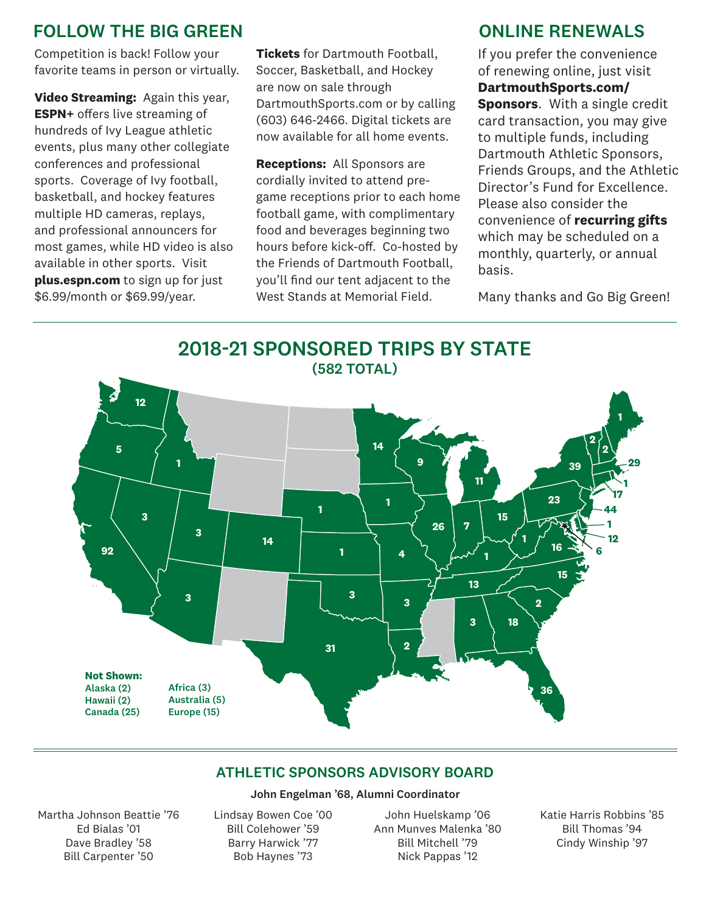## FOLLOW THE BIG GREEN CONLINE RENEWALS

Competition is back! Follow your favorite teams in person or virtually.

**Video Streaming:** Again this year, **ESPN+** offers live streaming of hundreds of Ivy League athletic events, plus many other collegiate conferences and professional sports. Coverage of Ivy football, basketball, and hockey features multiple HD cameras, replays, and professional announcers for most games, while HD video is also available in other sports. Visit **plus.espn.com** to sign up for just \$6.99/month or \$69.99/year.

**Tickets** for Dartmouth Football, Soccer, Basketball, and Hockey are now on sale through DartmouthSports.com or by calling (603) 646-2466. Digital tickets are now available for all home events.

**Receptions:** All Sponsors are cordially invited to attend pregame receptions prior to each home football game, with complimentary food and beverages beginning two hours before kick-off. Co-hosted by the Friends of Dartmouth Football, you'll find our tent adjacent to the West Stands at Memorial Field.

If you prefer the convenience of renewing online, just visit

**DartmouthSports.com/ Sponsors**. With a single credit card transaction, you may give to multiple funds, including Dartmouth Athletic Sponsors, Friends Groups, and the Athletic Director's Fund for Excellence. Please also consider the convenience of **recurring gifts** which may be scheduled on a monthly, quarterly, or annual basis.

Many thanks and Go Big Green!



#### ATHLETIC SPONSORS ADVISORY BOARD

#### John Engelman '68, Alumni Coordinator

Martha Johnson Beattie '76 Ed Bialas '01 Dave Bradley '58 Bill Carpenter '50

Lindsay Bowen Coe '00 Bill Colehower '59 Barry Harwick '77 Bob Haynes '73

John Huelskamp '06 Ann Munves Malenka '80 Bill Mitchell '79 Nick Pappas '12

Katie Harris Robbins '85 Bill Thomas '94 Cindy Winship '97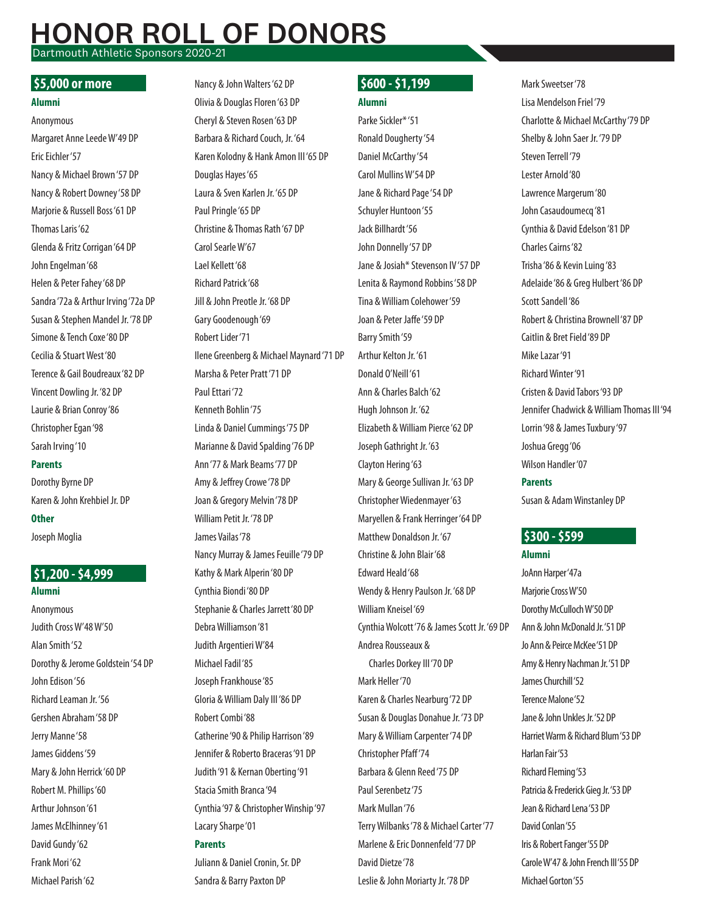### **NOR ROLL OF DONORS** Dartmouth Athletic Sponsors 2020-21

#### $55.000$  or more

#### **Alumni**

Anonymous Margaret Anne Leede W'49 DP Eric Eichler '57 Nancy & Michael Brown '57 DP Nancy & Robert Downey '58 DP Marjorie & Russell Boss '61 DP Thomas Laris '62 Glenda & Fritz Corrigan '64 DP John Engelman '68 Helen & Peter Fahey '68 DP Sandra '72a & Arthur Irving '72a DP Susan & Stephen Mandel Jr. '78 DP Simone & Tench Coxe '80 DP Cecilia & Stuart West '80 Terence & Gail Boudreaux '82 DP Vincent Dowling Jr. '82 DP Laurie & Brian Conroy '86 Christopher Egan '98 Sarah Irving '10 **Parents**

Dorothy Byrne DP Karen & John Krehbiel Jr. DP **Other** Joseph Moglia

#### \$1,200 - \$4,999  **\$1,200 - \$4,999**

**Alumni** Anonymous Judith Cross W'48 W'50 Alan Smith '52 Dorothy & Jerome Goldstein '54 DP John Edison '56 Richard Leaman Jr. '56 Gershen Abraham '58 DP Jerry Manne '58 James Giddens '59 Mary & John Herrick '60 DP Robert M. Phillips '60 Arthur Johnson '61 James McElhinney '61 David Gundy '62 Frank Mori '62 Michael Parish '62

**\$5,000 or more Nancy & John Walters '62 DP \$600 - \$1,199** Olivia & Douglas Floren '63 DP Cheryl & Steven Rosen '63 DP Barbara & Richard Couch, Jr. '64 Karen Kolodny & Hank Amon III '65 DP Douglas Hayes '65 Laura & Sven Karlen Jr. '65 DP Paul Pringle '65 DP Christine & Thomas Rath '67 DP Carol Searle W'67 Lael Kellett '68 Richard Patrick '68 Jill & John Preotle Jr. '68 DP Gary Goodenough '69 Robert Lider '71 Ilene Greenberg & Michael Maynard '71 DP Marsha & Peter Pratt '71 DP Paul Ettari '72 Kenneth Bohlin '75 Linda & Daniel Cummings '75 DP Marianne & David Spalding '76 DP Ann '77 & Mark Beams '77 DP Amy & Jeffrey Crowe '78 DP Joan & Gregory Melvin '78 DP William Petit Jr. '78 DP James Vailas '78 Nancy Murray & James Feuille '79 DP Kathy & Mark Alperin '80 DP Cynthia Biondi '80 DP Stephanie & Charles Jarrett '80 DP Debra Williamson '81 Judith Argentieri W'84 Michael Fadil '85 Joseph Frankhouse '85 Gloria & William Daly III '86 DP Robert Combi '88 Catherine '90 & Philip Harrison '89 Jennifer & Roberto Braceras '91 DP Judith '91 & Kernan Oberting '91 Stacia Smith Branca '94 Cynthia '97 & Christopher Winship '97 Lacary Sharpe '01 **Parents** Juliann & Daniel Cronin, Sr. DP

Sandra & Barry Paxton DP

# \$600 - \$1,199

**Alumni** Parke Sickler\* '51 Ronald Dougherty '54 Daniel McCarthy '54 Carol Mullins W'54 DP Jane & Richard Page '54 DP Schuyler Huntoon '55 Jack Billhardt '56 John Donnelly '57 DP Jane & Josiah\* Stevenson IV '57 DP Lenita & Raymond Robbins '58 DP Tina & William Colehower '59 Joan & Peter Jaffe '59 DP Barry Smith '59 Arthur Kelton Jr. '61 Donald O'Neill '61 Ann & Charles Balch '62 Hugh Johnson Jr. '62 Elizabeth & William Pierce '62 DP Joseph Gathright Jr. '63 Clayton Hering '63 Mary & George Sullivan Jr. '63 DP Christopher Wiedenmayer '63 Maryellen & Frank Herringer '64 DP Matthew Donaldson Jr. '67 Christine & John Blair '68 Edward Heald '68 Wendy & Henry Paulson Jr. '68 DP William Kneisel '69 Cynthia Wolcott '76 & James Scott Jr. '69 DP Andrea Rousseaux & Charles Dorkey III '70 DP Mark Heller '70 Karen & Charles Nearburg '72 DP Susan & Douglas Donahue Jr. '73 DP Mary & William Carpenter '74 DP Christopher Pfaff '74 Barbara & Glenn Reed '75 DP Paul Serenbetz '75

Mark Mullan '76

David Dietze '78

Terry Wilbanks '78 & Michael Carter '77 Marlene & Eric Donnenfeld '77 DP

Leslie & John Moriarty Jr. '78 DP

Mark Sweetser '78 Lisa Mendelson Friel '79 Charlotte & Michael McCarthy '79 DP Shelby & John Saer Jr. '79 DP Steven Terrell '79 Lester Arnold '80 Lawrence Margerum '80 John Casaudoumecq '81 Cynthia & David Edelson '81 DP Charles Cairns '82 Trisha '86 & Kevin Luing '83 Adelaide '86 & Greg Hulbert '86 DP Scott Sandell '86 Robert & Christina Brownell '87 DP Caitlin & Bret Field '89 DP Mike Lazar '91 Richard Winter '91 Cristen & David Tabors '93 DP Jennifer Chadwick & William Thomas III '94 Lorrin '98 & James Tuxbury '97 Joshua Gregg '06 Wilson Handler '07 **Parents**

Susan & Adam Winstanley DP

#### \$300 - \$599 **\$300 - \$599** Up to \$200 - \$200 - \$299

**Alumni**

JoAnn Harper '47a Marjorie Cross W'50 Dorothy McCulloch W'50 DP Ann & John McDonald Jr. '51 DP Jo Ann & Peirce McKee '51 DP Amy & Henry Nachman Jr. '51 DP James Churchill '52 Terence Malone '52 Jane & John Unkles Jr. '52 DP Harriet Warm & Richard Blum '53 DP Harlan Fair '53 Richard Fleming '53 Patricia & Frederick Gieg Jr. '53 DP Jean & Richard Lena '53 DP David Conlan '55 Iris & Robert Fanger '55 DP Carole W'47 & John French III '55 DP Michael Gorton '55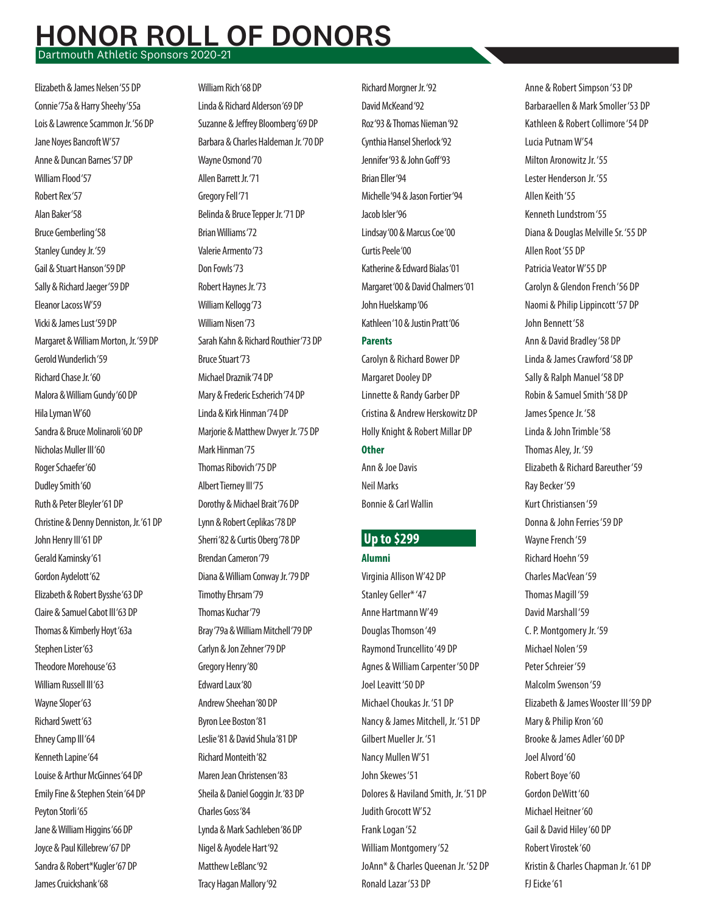# **NOR ROLL OF DONORS**

Dartmouth Athletic Sponsors 2020-21

Elizabeth & James Nelsen '55 DP Connie '75a & Harry Sheehy '55a Lois & Lawrence Scammon Jr. '56 DP Jane Noyes Bancroft W'57 Anne & Duncan Barnes '57 DP William Flood '57 Robert Rex '57 Alan Baker '58 Bruce Gemberling '58 Stanley Cundey Jr. '59 Gail & Stuart Hanson '59 DP Sally & Richard Jaeger '59 DP Eleanor Lacoss W'59 Vicki & James Lust '59 DP Margaret & William Morton, Jr. '59 DP Gerold Wunderlich '59 Richard Chase Jr. '60 Malora & William Gundy '60 DP Hila Lyman W'60 Sandra & Bruce Molinaroli '60 DP Nicholas Muller III '60 Roger Schaefer '60 Dudley Smith '60 Ruth & Peter Bleyler '61 DP Christine & Denny Denniston, Jr. '61 DP John Henry III '61 DP Gerald Kaminsky '61 Gordon Aydelott '62 Elizabeth & Robert Bysshe '63 DP Claire & Samuel Cabot III '63 DP Thomas & Kimberly Hoyt '63a Stephen Lister '63 Theodore Morehouse '63 William Russell III '63 Wayne Sloper '63 Richard Swett '63 Ehney Camp III '64 Kenneth Lapine '64 Louise & Arthur McGinnes '64 DP Emily Fine & Stephen Stein '64 DP Peyton Storli '65 Jane & William Higgins '66 DP Joyce & Paul Killebrew '67 DP Sandra & Robert\*Kugler '67 DP James Cruickshank '68

William Rich '68 DP Linda & Richard Alderson '69 DP Suzanne & Jeffrey Bloomberg '69 DP Barbara & Charles Haldeman Jr. '70 DP Wayne Osmond '70 Allen Barrett Jr. '71 Gregory Fell '71 Belinda & Bruce Tepper Jr. '71 DP Brian Williams '72 Valerie Armento '73 Don Fowls '73 Robert Haynes Jr. '73 William Kellogg '73 William Nisen '73 Sarah Kahn & Richard Routhier '73 DP Bruce Stuart '73 Michael Draznik '74 DP Mary & Frederic Escherich '74 DP Linda & Kirk Hinman '74 DP Marjorie & Matthew Dwyer Jr. '75 DP Mark Hinman '75 Thomas Ribovich '75 DP Albert Tierney III '75 Dorothy & Michael Brait '76 DP Lynn & Robert Ceplikas '78 DP Sherri '82 & Curtis Oberg '78 DP  **\$300 - \$599 Up to \$299** Brendan Cameron '79 Diana & William Conway Jr. '79 DP Timothy Ehrsam '79 Thomas Kuchar '79 Bray '79a & William Mitchell '79 DP Carlyn & Jon Zehner '79 DP Gregory Henry '80 Edward Laux '80 Andrew Sheehan '80 DP Byron Lee Boston '81 Leslie '81 & David Shula '81 DP Richard Monteith '82 Maren Jean Christensen '83 Sheila & Daniel Goggin Jr. '83 DP Charles Goss '84 Lynda & Mark Sachleben '86 DP Nigel & Ayodele Hart '92 Matthew LeBlanc '92

Tracy Hagan Mallory '92

Richard Morgner Jr. '92 David McKeand '92 Roz '93 & Thomas Nieman '92 Cynthia Hansel Sherlock '92 Jennifer '93 & John Goff '93 Brian Eller '94 Michelle '94 & Jason Fortier '94 Jacob Isler '96 Lindsay '00 & Marcus Coe '00 Curtis Peele '00 Katherine & Edward Bialas '01 Margaret '00 & David Chalmers '01 John Huelskamp '06 Kathleen '10 & Justin Pratt '06 **Parents**

Carolyn & Richard Bower DP Margaret Dooley DP Linnette & Randy Garber DP Cristina & Andrew Herskowitz DP Holly Knight & Robert Millar DP **Other**

Ann & Joe Davis Neil Marks Bonnie & Carl Wallin

## Up to \$299

#### **Alumni**

Virginia Allison W'42 DP Stanley Geller\* '47 Anne Hartmann W'49 Douglas Thomson '49 Raymond Truncellito '49 DP Agnes & William Carpenter '50 DP Joel Leavitt '50 DP Michael Choukas Jr. '51 DP Nancy & James Mitchell, Jr. '51 DP Gilbert Mueller Jr. '51 Nancy Mullen W'51 John Skewes '51 Dolores & Haviland Smith, Jr. '51 DP Judith Grocott W'52 Frank Logan '52 William Montgomery '52 JoAnn\* & Charles Queenan Jr. '52 DP Ronald Lazar '53 DP

Anne & Robert Simpson '53 DP Barbaraellen & Mark Smoller '53 DP Kathleen & Robert Collimore '54 DP Lucia Putnam W'54 Milton Aronowitz Jr. '55 Lester Henderson Jr. '55 Allen Keith '55 Kenneth Lundstrom '55 Diana & Douglas Melville Sr. '55 DP Allen Root '55 DP Patricia Veator W'55 DP Carolyn & Glendon French '56 DP Naomi & Philip Lippincott '57 DP John Bennett '58 Ann & David Bradley '58 DP Linda & James Crawford '58 DP Sally & Ralph Manuel '58 DP Robin & Samuel Smith '58 DP James Spence Jr. '58 Linda & John Trimble '58 Thomas Aley, Jr. '59 Elizabeth & Richard Bareuther '59 Ray Becker '59 Kurt Christiansen '59 Donna & John Ferries '59 DP Wayne French '59 Richard Hoehn '59 Charles MacVean '59 Thomas Magill '59 David Marshall '59 C. P. Montgomery Jr. '59 Michael Nolen '59 Peter Schreier '59 Malcolm Swenson '59 Elizabeth & James Wooster III '59 DP Mary & Philip Kron '60 Brooke & James Adler '60 DP Joel Alvord '60 Robert Boye '60 Gordon DeWitt '60 Michael Heitner '60 Gail & David Hiley '60 DP Robert Virostek '60 Kristin & Charles Chapman Jr. '61 DP FJ Eicke '61